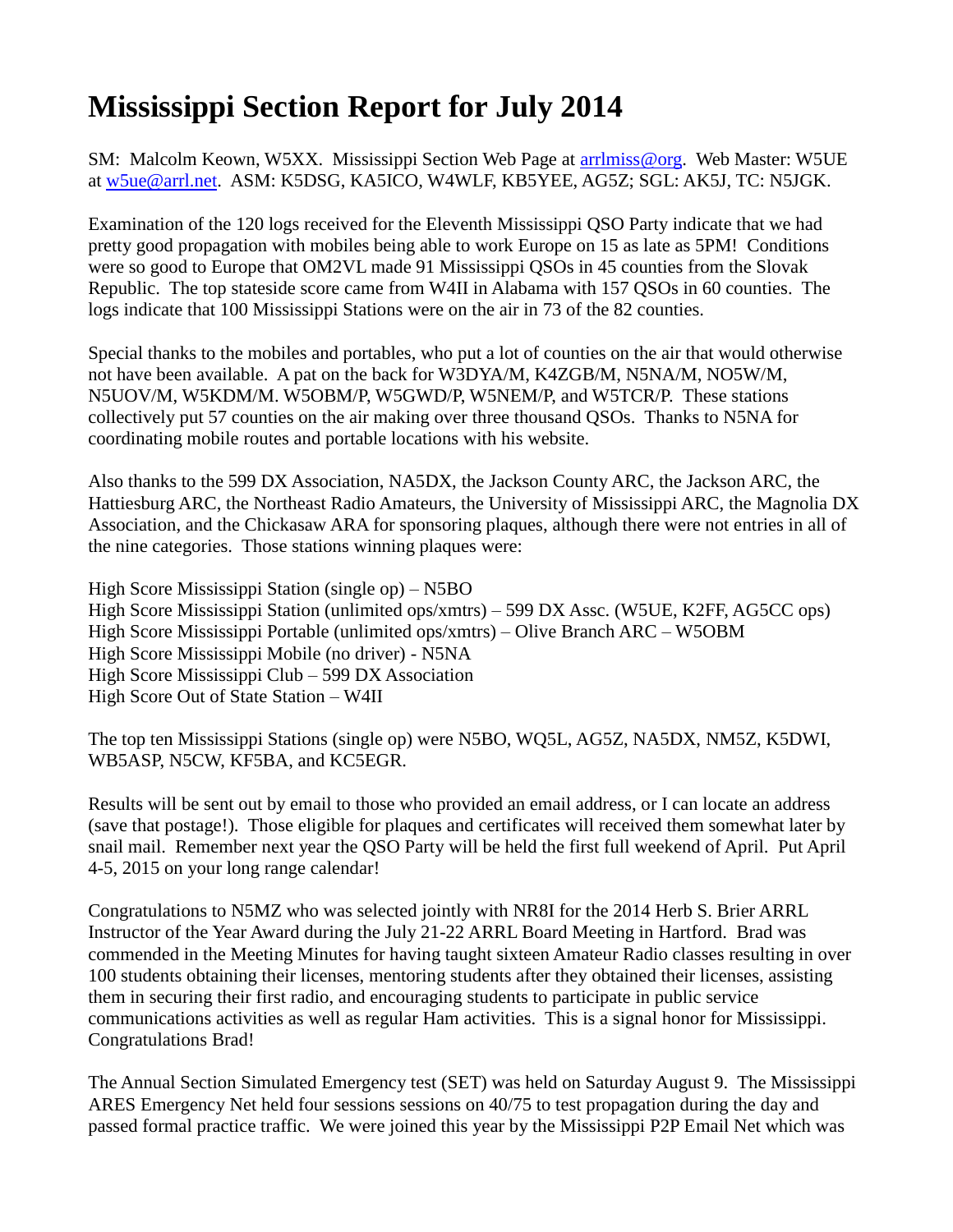## **Mississippi Section Report for July 2014**

SM: Malcolm Keown, W5XX. Mississippi Section Web Page at [arrlmiss@org.](mailto:arrlmiss@org) Web Master: W5UE at [w5ue@arrl.net.](mailto:w5ue@arrl.net) ASM: K5DSG, KA5ICO, W4WLF, KB5YEE, AG5Z; SGL: AK5J, TC: N5JGK.

Examination of the 120 logs received for the Eleventh Mississippi QSO Party indicate that we had pretty good propagation with mobiles being able to work Europe on 15 as late as 5PM! Conditions were so good to Europe that OM2VL made 91 Mississippi QSOs in 45 counties from the Slovak Republic. The top stateside score came from W4II in Alabama with 157 QSOs in 60 counties. The logs indicate that 100 Mississippi Stations were on the air in 73 of the 82 counties.

Special thanks to the mobiles and portables, who put a lot of counties on the air that would otherwise not have been available. A pat on the back for W3DYA/M, K4ZGB/M, N5NA/M, NO5W/M, N5UOV/M, W5KDM/M. W5OBM/P, W5GWD/P, W5NEM/P, and W5TCR/P. These stations collectively put 57 counties on the air making over three thousand QSOs. Thanks to N5NA for coordinating mobile routes and portable locations with his website.

Also thanks to the 599 DX Association, NA5DX, the Jackson County ARC, the Jackson ARC, the Hattiesburg ARC, the Northeast Radio Amateurs, the University of Mississippi ARC, the Magnolia DX Association, and the Chickasaw ARA for sponsoring plaques, although there were not entries in all of the nine categories. Those stations winning plaques were:

High Score Mississippi Station (single op) – N5BO High Score Mississippi Station (unlimited ops/xmtrs) – 599 DX Assc. (W5UE, K2FF, AG5CC ops) High Score Mississippi Portable (unlimited ops/xmtrs) – Olive Branch ARC – W5OBM High Score Mississippi Mobile (no driver) - N5NA High Score Mississippi Club – 599 DX Association High Score Out of State Station – W4II

The top ten Mississippi Stations (single op) were N5BO, WQ5L, AG5Z, NA5DX, NM5Z, K5DWI, WB5ASP, N5CW, KF5BA, and KC5EGR.

Results will be sent out by email to those who provided an email address, or I can locate an address (save that postage!). Those eligible for plaques and certificates will received them somewhat later by snail mail. Remember next year the QSO Party will be held the first full weekend of April. Put April 4-5, 2015 on your long range calendar!

Congratulations to N5MZ who was selected jointly with NR8I for the 2014 Herb S. Brier ARRL Instructor of the Year Award during the July 21-22 ARRL Board Meeting in Hartford. Brad was commended in the Meeting Minutes for having taught sixteen Amateur Radio classes resulting in over 100 students obtaining their licenses, mentoring students after they obtained their licenses, assisting them in securing their first radio, and encouraging students to participate in public service communications activities as well as regular Ham activities. This is a signal honor for Mississippi. Congratulations Brad!

The Annual Section Simulated Emergency test (SET) was held on Saturday August 9. The Mississippi ARES Emergency Net held four sessions sessions on 40/75 to test propagation during the day and passed formal practice traffic. We were joined this year by the Mississippi P2P Email Net which was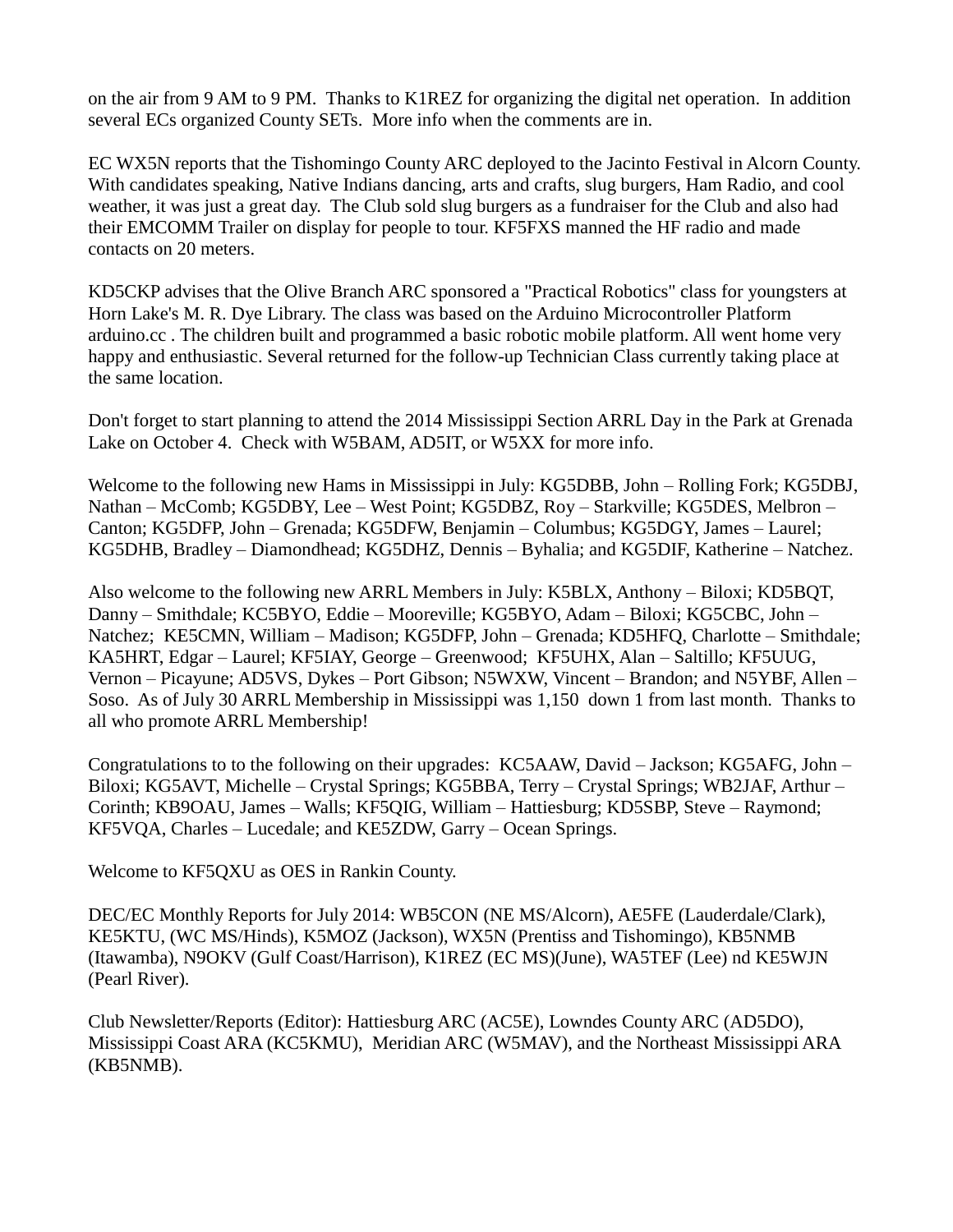on the air from 9 AM to 9 PM. Thanks to K1REZ for organizing the digital net operation. In addition several ECs organized County SETs. More info when the comments are in.

EC WX5N reports that the Tishomingo County ARC deployed to the Jacinto Festival in Alcorn County. With candidates speaking, Native Indians dancing, arts and crafts, slug burgers, Ham Radio, and cool weather, it was just a great day. The Club sold slug burgers as a fundraiser for the Club and also had their EMCOMM Trailer on display for people to tour. KF5FXS manned the HF radio and made contacts on 20 meters.

KD5CKP advises that the Olive Branch ARC sponsored a "Practical Robotics" class for youngsters at Horn Lake's M. R. Dye Library. The class was based on the Arduino Microcontroller Platform arduino.cc . The children built and programmed a basic robotic mobile platform. All went home very happy and enthusiastic. Several returned for the follow-up Technician Class currently taking place at the same location.

Don't forget to start planning to attend the 2014 Mississippi Section ARRL Day in the Park at Grenada Lake on October 4. Check with W5BAM, AD5IT, or W5XX for more info.

Welcome to the following new Hams in Mississippi in July: KG5DBB, John – Rolling Fork; KG5DBJ, Nathan – McComb; KG5DBY, Lee – West Point; KG5DBZ, Roy – Starkville; KG5DES, Melbron – Canton; KG5DFP, John – Grenada; KG5DFW, Benjamin – Columbus; KG5DGY, James – Laurel; KG5DHB, Bradley – Diamondhead; KG5DHZ, Dennis – Byhalia; and KG5DIF, Katherine – Natchez.

Also welcome to the following new ARRL Members in July: K5BLX, Anthony – Biloxi; KD5BQT, Danny – Smithdale; KC5BYO, Eddie – Mooreville; KG5BYO, Adam – Biloxi; KG5CBC, John – Natchez; KE5CMN, William – Madison; KG5DFP, John – Grenada; KD5HFQ, Charlotte – Smithdale; KA5HRT, Edgar – Laurel; KF5IAY, George – Greenwood; KF5UHX, Alan – Saltillo; KF5UUG, Vernon – Picayune; AD5VS, Dykes – Port Gibson; N5WXW, Vincent – Brandon; and N5YBF, Allen – Soso. As of July 30 ARRL Membership in Mississippi was 1,150 down 1 from last month. Thanks to all who promote ARRL Membership!

Congratulations to to the following on their upgrades: KC5AAW, David – Jackson; KG5AFG, John – Biloxi; KG5AVT, Michelle – Crystal Springs; KG5BBA, Terry – Crystal Springs; WB2JAF, Arthur – Corinth; KB9OAU, James – Walls; KF5QIG, William – Hattiesburg; KD5SBP, Steve – Raymond; KF5VQA, Charles – Lucedale; and KE5ZDW, Garry – Ocean Springs.

Welcome to KF5QXU as OES in Rankin County.

DEC/EC Monthly Reports for July 2014: WB5CON (NE MS/Alcorn), AE5FE (Lauderdale/Clark), KE5KTU, (WC MS/Hinds), K5MOZ (Jackson), WX5N (Prentiss and Tishomingo), KB5NMB (Itawamba), N9OKV (Gulf Coast/Harrison), K1REZ (EC MS)(June), WA5TEF (Lee) nd KE5WJN (Pearl River).

Club Newsletter/Reports (Editor): Hattiesburg ARC (AC5E), Lowndes County ARC (AD5DO), Mississippi Coast ARA (KC5KMU), Meridian ARC (W5MAV), and the Northeast Mississippi ARA (KB5NMB).